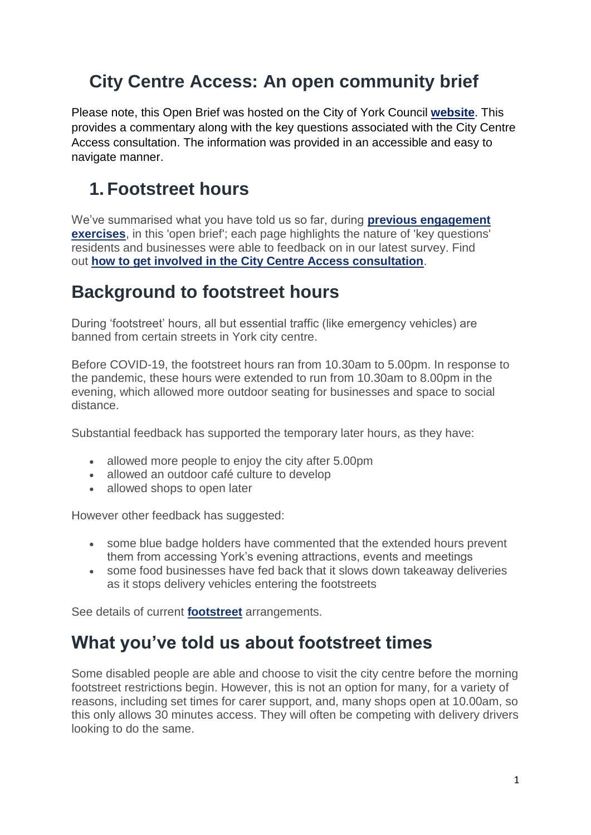# **City Centre Access: An open community brief**

Please note, this Open Brief was hosted on the City of York Council **[website](https://www.york.gov.uk/AccessConsultationOpenBrief)**. This provides a commentary along with the key questions associated with the City Centre Access consultation. The information was provided in an accessible and easy to navigate manner.

### **1. Footstreet hours**

We've summarised what you have told us so far, during **[previous engagement](https://www.york.gov.uk/AccessConsultationSoFar)  [exercises](https://www.york.gov.uk/AccessConsultationSoFar)**, in this 'open brief'; each page highlights the nature of 'key questions' residents and businesses were able to feedback on in our latest survey. Find out **[how to get involved in the City Centre Access consultation](https://www.york.gov.uk/AccessConsultationGetInvolved)**.

### **Background to footstreet hours**

During 'footstreet' hours, all but essential traffic (like emergency vehicles) are banned from certain streets in York city centre.

Before COVID-19, the footstreet hours ran from 10.30am to 5.00pm. In response to the pandemic, these hours were extended to run from 10.30am to 8.00pm in the evening, which allowed more outdoor seating for businesses and space to social distance.

Substantial feedback has supported the temporary later hours, as they have:

- allowed more people to enjoy the city after 5.00pm
- allowed an outdoor café culture to develop
- allowed shops to open later

However other feedback has suggested:

- some blue badge holders have commented that the extended hours prevent them from accessing York's evening attractions, events and meetings
- some food businesses have fed back that it slows down takeaway deliveries as it stops delivery vehicles entering the footstreets

See details of current **[footstreet](https://www.york.gov.uk/footstreets)** arrangements.

### **What you've told us about footstreet times**

Some disabled people are able and choose to visit the city centre before the morning footstreet restrictions begin. However, this is not an option for many, for a variety of reasons, including set times for carer support, and, many shops open at 10.00am, so this only allows 30 minutes access. They will often be competing with delivery drivers looking to do the same.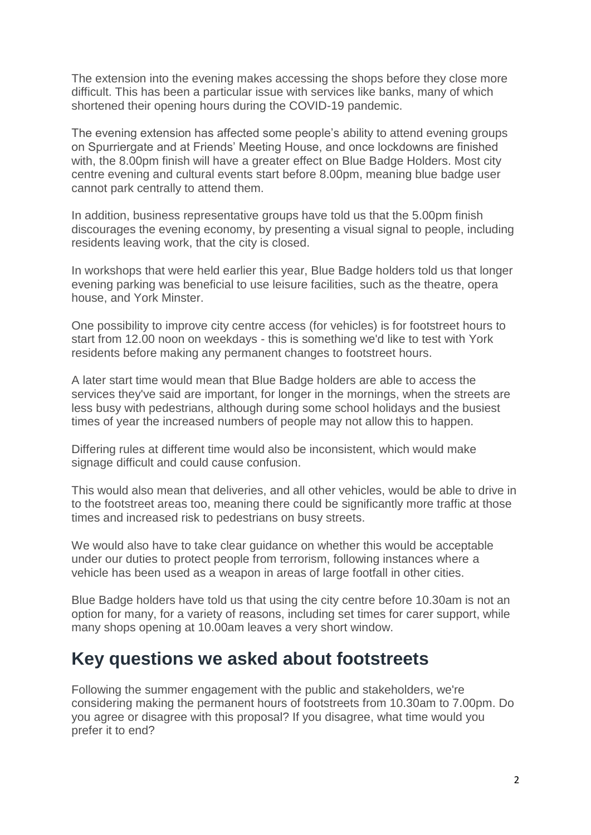The extension into the evening makes accessing the shops before they close more difficult. This has been a particular issue with services like banks, many of which shortened their opening hours during the COVID-19 pandemic.

The evening extension has affected some people's ability to attend evening groups on Spurriergate and at Friends' Meeting House, and once lockdowns are finished with, the 8.00pm finish will have a greater effect on Blue Badge Holders. Most city centre evening and cultural events start before 8.00pm, meaning blue badge user cannot park centrally to attend them.

In addition, business representative groups have told us that the 5.00pm finish discourages the evening economy, by presenting a visual signal to people, including residents leaving work, that the city is closed.

In workshops that were held earlier this year, Blue Badge holders told us that longer evening parking was beneficial to use leisure facilities, such as the theatre, opera house, and York Minster.

One possibility to improve city centre access (for vehicles) is for footstreet hours to start from 12.00 noon on weekdays - this is something we'd like to test with York residents before making any permanent changes to footstreet hours.

A later start time would mean that Blue Badge holders are able to access the services they've said are important, for longer in the mornings, when the streets are less busy with pedestrians, although during some school holidays and the busiest times of year the increased numbers of people may not allow this to happen.

Differing rules at different time would also be inconsistent, which would make signage difficult and could cause confusion.

This would also mean that deliveries, and all other vehicles, would be able to drive in to the footstreet areas too, meaning there could be significantly more traffic at those times and increased risk to pedestrians on busy streets.

We would also have to take clear guidance on whether this would be acceptable under our duties to protect people from terrorism, following instances where a vehicle has been used as a weapon in areas of large footfall in other cities.

Blue Badge holders have told us that using the city centre before 10.30am is not an option for many, for a variety of reasons, including set times for carer support, while many shops opening at 10.00am leaves a very short window.

#### **Key questions we asked about footstreets**

Following the summer engagement with the public and stakeholders, we're considering making the permanent hours of footstreets from 10.30am to 7.00pm. Do you agree or disagree with this proposal? If you disagree, what time would you prefer it to end?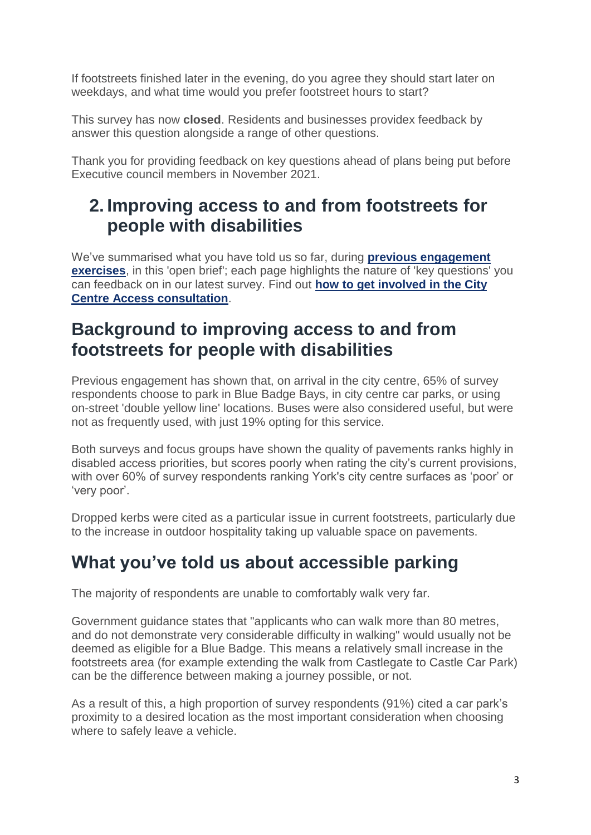If footstreets finished later in the evening, do you agree they should start later on weekdays, and what time would you prefer footstreet hours to start?

This survey has now **closed**. Residents and businesses providex feedback by answer this question alongside a range of other questions.

Thank you for providing feedback on key questions ahead of plans being put before Executive council members in November 2021.

### **2. Improving access to and from footstreets for people with disabilities**

We've summarised what you have told us so far, during **[previous engagement](https://www.york.gov.uk/AccessConsultationSoFar)  [exercises](https://www.york.gov.uk/AccessConsultationSoFar)**, in this 'open brief'; each page highlights the nature of 'key questions' you can feedback on in our latest survey. Find out **[how to get involved in the City](https://www.york.gov.uk/AccessConsultationGetInvolved)  [Centre Access consultation](https://www.york.gov.uk/AccessConsultationGetInvolved)**.

### **Background to improving access to and from footstreets for people with disabilities**

Previous engagement has shown that, on arrival in the city centre, 65% of survey respondents choose to park in Blue Badge Bays, in city centre car parks, or using on-street 'double yellow line' locations. Buses were also considered useful, but were not as frequently used, with just 19% opting for this service.

Both surveys and focus groups have shown the quality of pavements ranks highly in disabled access priorities, but scores poorly when rating the city's current provisions, with over 60% of survey respondents ranking York's city centre surfaces as 'poor' or 'very poor'.

Dropped kerbs were cited as a particular issue in current footstreets, particularly due to the increase in outdoor hospitality taking up valuable space on pavements.

## **What you've told us about accessible parking**

The majority of respondents are unable to comfortably walk very far.

Government guidance states that "applicants who can walk more than 80 metres, and do not demonstrate very considerable difficulty in walking" would usually not be deemed as eligible for a Blue Badge. This means a relatively small increase in the footstreets area (for example extending the walk from Castlegate to Castle Car Park) can be the difference between making a journey possible, or not.

As a result of this, a high proportion of survey respondents (91%) cited a car park's proximity to a desired location as the most important consideration when choosing where to safely leave a vehicle.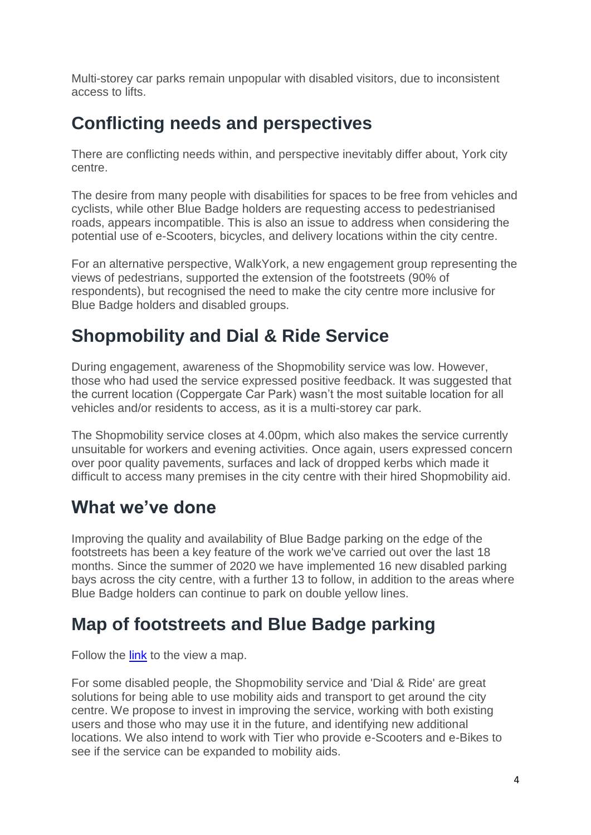Multi-storey car parks remain unpopular with disabled visitors, due to inconsistent access to lifts.

# **Conflicting needs and perspectives**

There are conflicting needs within, and perspective inevitably differ about, York city centre.

The desire from many people with disabilities for spaces to be free from vehicles and cyclists, while other Blue Badge holders are requesting access to pedestrianised roads, appears incompatible. This is also an issue to address when considering the potential use of e-Scooters, bicycles, and delivery locations within the city centre.

For an alternative perspective, WalkYork, a new engagement group representing the views of pedestrians, supported the extension of the footstreets (90% of respondents), but recognised the need to make the city centre more inclusive for Blue Badge holders and disabled groups.

## **Shopmobility and Dial & Ride Service**

During engagement, awareness of the Shopmobility service was low. However, those who had used the service expressed positive feedback. It was suggested that the current location (Coppergate Car Park) wasn't the most suitable location for all vehicles and/or residents to access, as it is a multi-storey car park.

The Shopmobility service closes at 4.00pm, which also makes the service currently unsuitable for workers and evening activities. Once again, users expressed concern over poor quality pavements, surfaces and lack of dropped kerbs which made it difficult to access many premises in the city centre with their hired Shopmobility aid.

## **What we've done**

Improving the quality and availability of Blue Badge parking on the edge of the footstreets has been a key feature of the work we've carried out over the last 18 months. Since the summer of 2020 we have implemented 16 new disabled parking bays across the city centre, with a further 13 to follow, in addition to the areas where Blue Badge holders can continue to park on double yellow lines.

## **Map of footstreets and Blue Badge parking**

Follow the [link](https://cyc.maps.arcgis.com/apps/Embed/index.html?webmap=5e14ba2c756c49fda099d776b7ea4e00&extent=-1.0971,53.9551,-1.0637,53.9655&home=true&zoom=true&scale=true&search=true&searchextent=false&details=true&legend=true&active_panel=legend&disable_scroll=false&theme=light&level=8) to the view a map.

For some disabled people, the Shopmobility service and 'Dial & Ride' are great solutions for being able to use mobility aids and transport to get around the city centre. We propose to invest in improving the service, working with both existing users and those who may use it in the future, and identifying new additional locations. We also intend to work with Tier who provide e-Scooters and e-Bikes to see if the service can be expanded to mobility aids.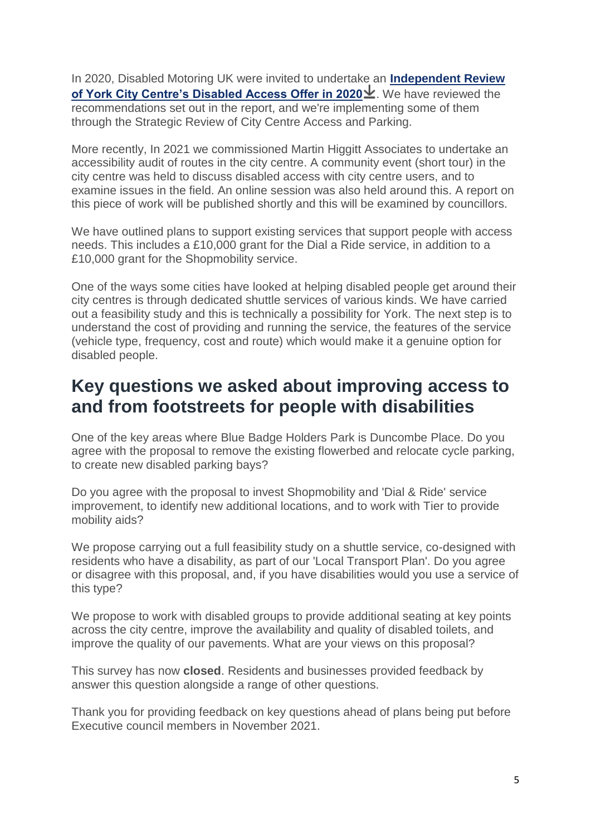In 2020, Disabled Motoring UK were invited to undertake an **[Independent Review](https://www.york.gov.uk/downloads/file/6118/independent-review-of-york-city-centre-disabled-access-offer-14-oct)  [of York City Centre's Disabled Access Offer in 2020](https://www.york.gov.uk/downloads/file/6118/independent-review-of-york-city-centre-disabled-access-offer-14-oct)**  $\pm$ . We have reviewed the recommendations set out in the report, and we're implementing some of them through the Strategic Review of City Centre Access and Parking.

More recently, In 2021 we commissioned Martin Higgitt Associates to undertake an accessibility audit of routes in the city centre. A community event (short tour) in the city centre was held to discuss disabled access with city centre users, and to examine issues in the field. An online session was also held around this. A report on this piece of work will be published shortly and this will be examined by councillors.

We have outlined plans to support existing services that support people with access needs. This includes a £10,000 grant for the Dial a Ride service, in addition to a £10,000 grant for the Shopmobility service.

One of the ways some cities have looked at helping disabled people get around their city centres is through dedicated shuttle services of various kinds. We have carried out a feasibility study and this is technically a possibility for York. The next step is to understand the cost of providing and running the service, the features of the service (vehicle type, frequency, cost and route) which would make it a genuine option for disabled people.

### **Key questions we asked about improving access to and from footstreets for people with disabilities**

One of the key areas where Blue Badge Holders Park is Duncombe Place. Do you agree with the proposal to remove the existing flowerbed and relocate cycle parking, to create new disabled parking bays?

Do you agree with the proposal to invest Shopmobility and 'Dial & Ride' service improvement, to identify new additional locations, and to work with Tier to provide mobility aids?

We propose carrying out a full feasibility study on a shuttle service, co-designed with residents who have a disability, as part of our 'Local Transport Plan'. Do you agree or disagree with this proposal, and, if you have disabilities would you use a service of this type?

We propose to work with disabled groups to provide additional seating at key points across the city centre, improve the availability and quality of disabled toilets, and improve the quality of our pavements. What are your views on this proposal?

This survey has now **closed**. Residents and businesses provided feedback by answer this question alongside a range of other questions.

Thank you for providing feedback on key questions ahead of plans being put before Executive council members in November 2021.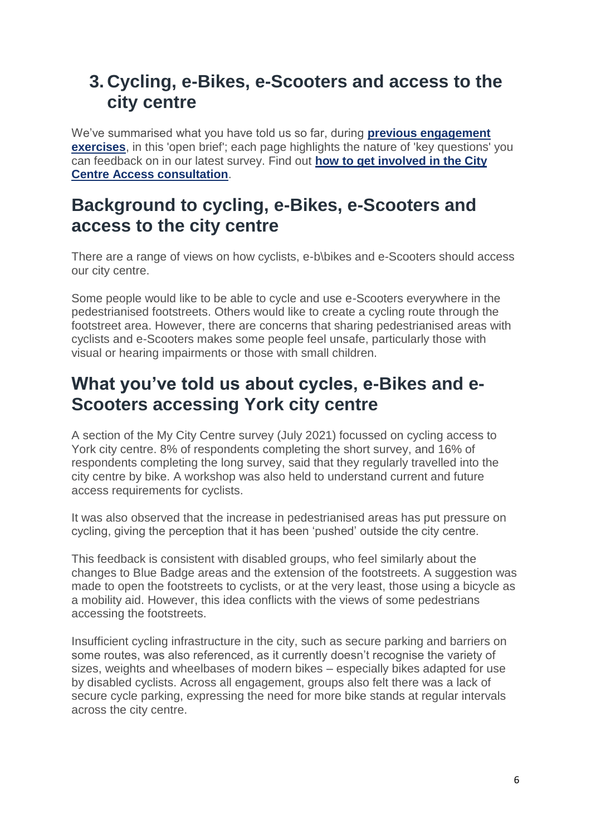### **3. Cycling, e-Bikes, e-Scooters and access to the city centre**

We've summarised what you have told us so far, during **[previous engagement](https://www.york.gov.uk/AccessConsultationSoFar)  [exercises](https://www.york.gov.uk/AccessConsultationSoFar)**, in this 'open brief'; each page highlights the nature of 'key questions' you can feedback on in our latest survey. Find out **[how to get involved in the City](https://www.york.gov.uk/AccessConsultationGetInvolved)  [Centre Access consultation](https://www.york.gov.uk/AccessConsultationGetInvolved)**.

### **Background to cycling, e-Bikes, e-Scooters and access to the city centre**

There are a range of views on how cyclists, e-b\bikes and e-Scooters should access our city centre.

Some people would like to be able to cycle and use e-Scooters everywhere in the pedestrianised footstreets. Others would like to create a cycling route through the footstreet area. However, there are concerns that sharing pedestrianised areas with cyclists and e-Scooters makes some people feel unsafe, particularly those with visual or hearing impairments or those with small children.

### **What you've told us about cycles, e-Bikes and e-Scooters accessing York city centre**

A section of the My City Centre survey (July 2021) focussed on cycling access to York city centre. 8% of respondents completing the short survey, and 16% of respondents completing the long survey, said that they regularly travelled into the city centre by bike. A workshop was also held to understand current and future access requirements for cyclists.

It was also observed that the increase in pedestrianised areas has put pressure on cycling, giving the perception that it has been 'pushed' outside the city centre.

This feedback is consistent with disabled groups, who feel similarly about the changes to Blue Badge areas and the extension of the footstreets. A suggestion was made to open the footstreets to cyclists, or at the very least, those using a bicycle as a mobility aid. However, this idea conflicts with the views of some pedestrians accessing the footstreets.

Insufficient cycling infrastructure in the city, such as secure parking and barriers on some routes, was also referenced, as it currently doesn't recognise the variety of sizes, weights and wheelbases of modern bikes – especially bikes adapted for use by disabled cyclists. Across all engagement, groups also felt there was a lack of secure cycle parking, expressing the need for more bike stands at regular intervals across the city centre.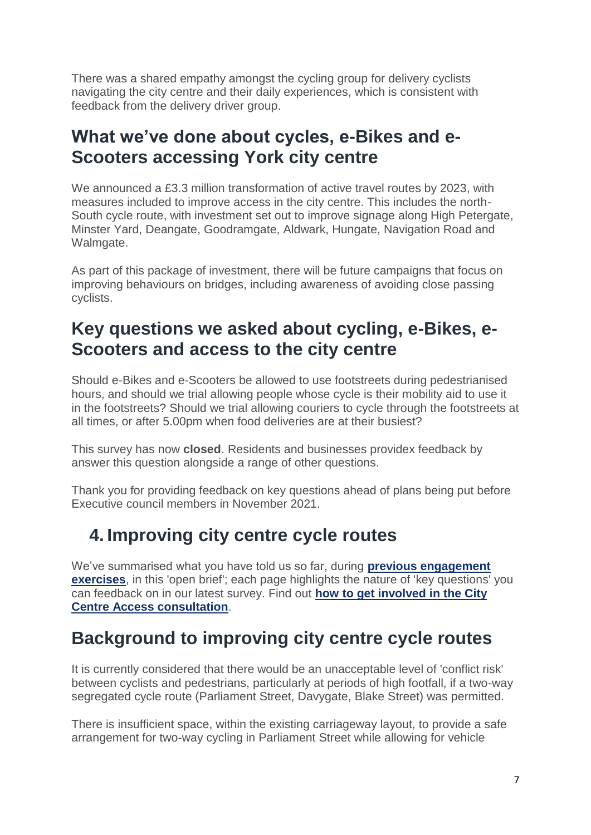There was a shared empathy amongst the cycling group for delivery cyclists navigating the city centre and their daily experiences, which is consistent with feedback from the delivery driver group.

### **What we've done about cycles, e-Bikes and e-Scooters accessing York city centre**

We announced a £3.3 million transformation of active travel routes by 2023, with measures included to improve access in the city centre. This includes the north-South cycle route, with investment set out to improve signage along High Petergate, Minster Yard, Deangate, Goodramgate, Aldwark, Hungate, Navigation Road and Walmgate.

As part of this package of investment, there will be future campaigns that focus on improving behaviours on bridges, including awareness of avoiding close passing cyclists.

### **Key questions we asked about cycling, e-Bikes, e-Scooters and access to the city centre**

Should e-Bikes and e-Scooters be allowed to use footstreets during pedestrianised hours, and should we trial allowing people whose cycle is their mobility aid to use it in the footstreets? Should we trial allowing couriers to cycle through the footstreets at all times, or after 5.00pm when food deliveries are at their busiest?

This survey has now **closed**. Residents and businesses providex feedback by answer this question alongside a range of other questions.

Thank you for providing feedback on key questions ahead of plans being put before Executive council members in November 2021.

### **4. Improving city centre cycle routes**

We've summarised what you have told us so far, during **[previous engagement](https://www.york.gov.uk/AccessConsultationSoFar)  [exercises](https://www.york.gov.uk/AccessConsultationSoFar)**, in this 'open brief'; each page highlights the nature of 'key questions' you can feedback on in our latest survey. Find out **[how to get involved in the City](https://www.york.gov.uk/AccessConsultationGetInvolved)  [Centre Access consultation](https://www.york.gov.uk/AccessConsultationGetInvolved)**.

## **Background to improving city centre cycle routes**

It is currently considered that there would be an unacceptable level of 'conflict risk' between cyclists and pedestrians, particularly at periods of high footfall, if a two-way segregated cycle route (Parliament Street, Davygate, Blake Street) was permitted.

There is insufficient space, within the existing carriageway layout, to provide a safe arrangement for two-way cycling in Parliament Street while allowing for vehicle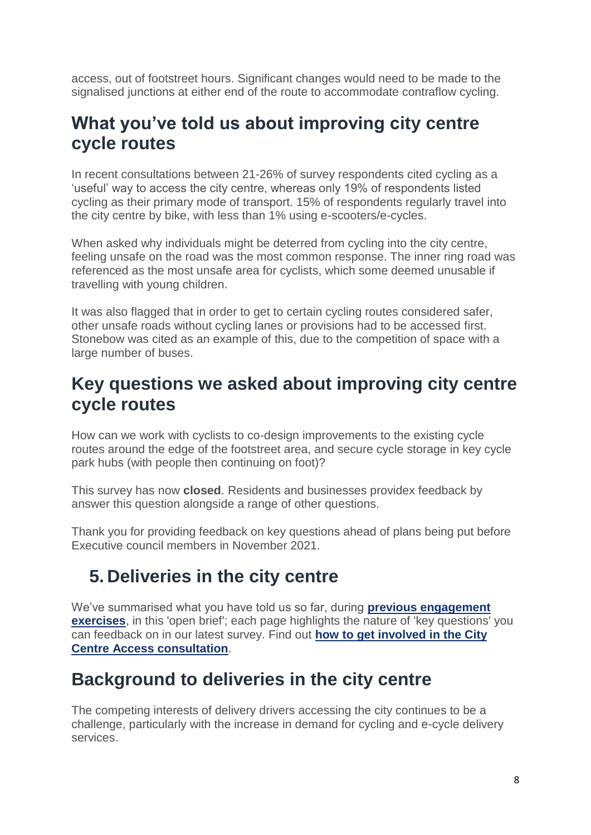access, out of footstreet hours. Significant changes would need to be made to the signalised junctions at either end of the route to accommodate contraflow cycling.

### **What you've told us about improving city centre cycle routes**

In recent consultations between 21-26% of survey respondents cited cycling as a 'useful' way to access the city centre, whereas only 19% of respondents listed cycling as their primary mode of transport. 15% of respondents regularly travel into the city centre by bike, with less than 1% using e-scooters/e-cycles.

When asked why individuals might be deterred from cycling into the city centre, feeling unsafe on the road was the most common response. The inner ring road was referenced as the most unsafe area for cyclists, which some deemed unusable if travelling with young children.

It was also flagged that in order to get to certain cycling routes considered safer, other unsafe roads without cycling lanes or provisions had to be accessed first. Stonebow was cited as an example of this, due to the competition of space with a large number of buses.

### **Key questions we asked about improving city centre cycle routes**

How can we work with cyclists to co-design improvements to the existing cycle routes around the edge of the footstreet area, and secure cycle storage in key cycle park hubs (with people then continuing on foot)?

This survey has now **closed**. Residents and businesses providex feedback by answer this question alongside a range of other questions.

Thank you for providing feedback on key questions ahead of plans being put before Executive council members in November 2021.

## **5. Deliveries in the city centre**

We've summarised what you have told us so far, during **[previous engagement](https://www.york.gov.uk/AccessConsultationSoFar)  [exercises](https://www.york.gov.uk/AccessConsultationSoFar)**, in this 'open brief'; each page highlights the nature of 'key questions' you can feedback on in our latest survey. Find out **[how to get involved in the City](https://www.york.gov.uk/AccessConsultationGetInvolved)  [Centre Access consultation](https://www.york.gov.uk/AccessConsultationGetInvolved)**.

## **Background to deliveries in the city centre**

The competing interests of delivery drivers accessing the city continues to be a challenge, particularly with the increase in demand for cycling and e-cycle delivery services.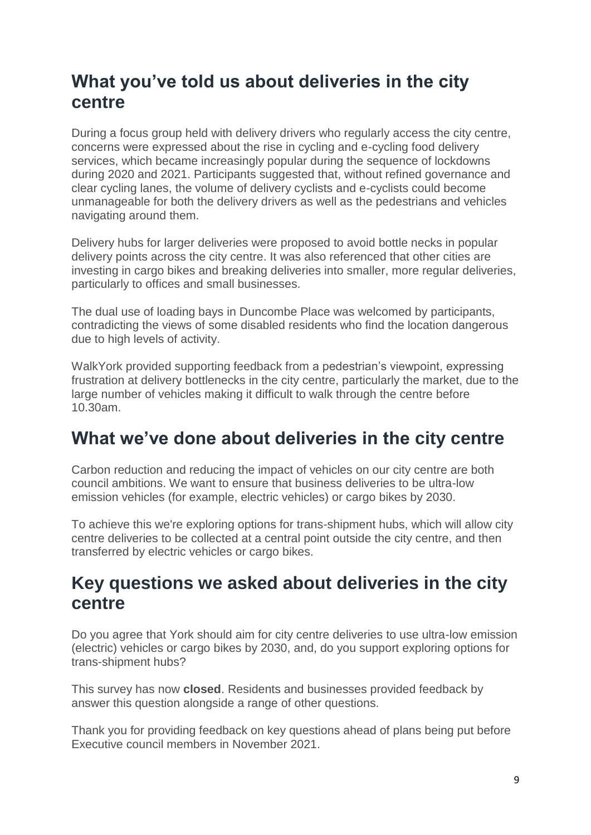## **What you've told us about deliveries in the city centre**

During a focus group held with delivery drivers who regularly access the city centre, concerns were expressed about the rise in cycling and e-cycling food delivery services, which became increasingly popular during the sequence of lockdowns during 2020 and 2021. Participants suggested that, without refined governance and clear cycling lanes, the volume of delivery cyclists and e-cyclists could become unmanageable for both the delivery drivers as well as the pedestrians and vehicles navigating around them.

Delivery hubs for larger deliveries were proposed to avoid bottle necks in popular delivery points across the city centre. It was also referenced that other cities are investing in cargo bikes and breaking deliveries into smaller, more regular deliveries, particularly to offices and small businesses.

The dual use of loading bays in Duncombe Place was welcomed by participants, contradicting the views of some disabled residents who find the location dangerous due to high levels of activity.

WalkYork provided supporting feedback from a pedestrian's viewpoint, expressing frustration at delivery bottlenecks in the city centre, particularly the market, due to the large number of vehicles making it difficult to walk through the centre before 10.30am.

## **What we've done about deliveries in the city centre**

Carbon reduction and reducing the impact of vehicles on our city centre are both council ambitions. We want to ensure that business deliveries to be ultra-low emission vehicles (for example, electric vehicles) or cargo bikes by 2030.

To achieve this we're exploring options for trans-shipment hubs, which will allow city centre deliveries to be collected at a central point outside the city centre, and then transferred by electric vehicles or cargo bikes.

### **Key questions we asked about deliveries in the city centre**

Do you agree that York should aim for city centre deliveries to use ultra-low emission (electric) vehicles or cargo bikes by 2030, and, do you support exploring options for trans-shipment hubs?

This survey has now **closed**. Residents and businesses provided feedback by answer this question alongside a range of other questions.

Thank you for providing feedback on key questions ahead of plans being put before Executive council members in November 2021.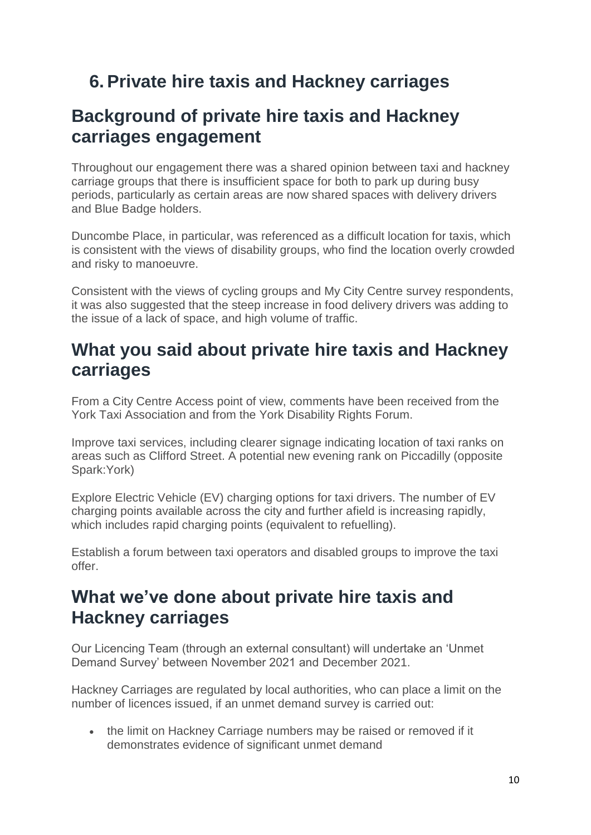# **6. Private hire taxis and Hackney carriages**

### **Background of private hire taxis and Hackney carriages engagement**

Throughout our engagement there was a shared opinion between taxi and hackney carriage groups that there is insufficient space for both to park up during busy periods, particularly as certain areas are now shared spaces with delivery drivers and Blue Badge holders.

Duncombe Place, in particular, was referenced as a difficult location for taxis, which is consistent with the views of disability groups, who find the location overly crowded and risky to manoeuvre.

Consistent with the views of cycling groups and My City Centre survey respondents, it was also suggested that the steep increase in food delivery drivers was adding to the issue of a lack of space, and high volume of traffic.

#### **What you said about private hire taxis and Hackney carriages**

From a City Centre Access point of view, comments have been received from the York Taxi Association and from the York Disability Rights Forum.

Improve taxi services, including clearer signage indicating location of taxi ranks on areas such as Clifford Street. A potential new evening rank on Piccadilly (opposite Spark:York)

Explore Electric Vehicle (EV) charging options for taxi drivers. The number of EV charging points available across the city and further afield is increasing rapidly, which includes rapid charging points (equivalent to refuelling).

Establish a forum between taxi operators and disabled groups to improve the taxi offer.

### **What we've done about private hire taxis and Hackney carriages**

Our Licencing Team (through an external consultant) will undertake an 'Unmet Demand Survey' between November 2021 and December 2021.

Hackney Carriages are regulated by local authorities, who can place a limit on the number of licences issued, if an unmet demand survey is carried out:

 the limit on Hackney Carriage numbers may be raised or removed if it demonstrates evidence of significant unmet demand